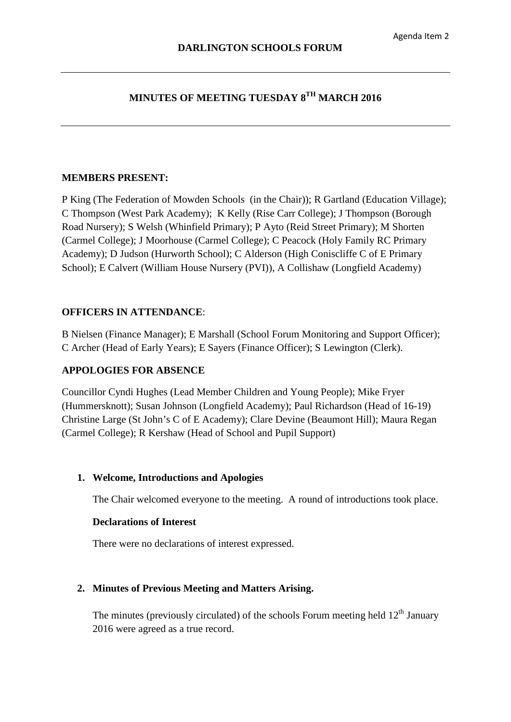# **MINUTES OF MEETING TUESDAY 8TH MARCH 2016**

#### **MEMBERS PRESENT:**

P King (The Federation of Mowden Schools (in the Chair)); R Gartland (Education Village); C Thompson (West Park Academy); K Kelly (Rise Carr College); J Thompson (Borough Road Nursery); S Welsh (Whinfield Primary); P Ayto (Reid Street Primary); M Shorten (Carmel College); J Moorhouse (Carmel College); C Peacock (Holy Family RC Primary Academy); D Judson (Hurworth School); C Alderson (High Coniscliffe C of E Primary School); E Calvert (William House Nursery (PVI)), A Collishaw (Longfield Academy)

# **OFFICERS IN ATTENDANCE**:

B Nielsen (Finance Manager); E Marshall (School Forum Monitoring and Support Officer); C Archer (Head of Early Years); E Sayers (Finance Officer); S Lewington (Clerk).

# **APPOLOGIES FOR ABSENCE**

Councillor Cyndi Hughes (Lead Member Children and Young People); Mike Fryer (Hummersknott); Susan Johnson (Longfield Academy); Paul Richardson (Head of 16-19) Christine Large (St John's C of E Academy); Clare Devine (Beaumont Hill); Maura Regan (Carmel College); R Kershaw (Head of School and Pupil Support)

#### **1. Welcome, Introductions and Apologies**

The Chair welcomed everyone to the meeting. A round of introductions took place.

#### **Declarations of Interest**

There were no declarations of interest expressed.

# **2. Minutes of Previous Meeting and Matters Arising.**

The minutes (previously circulated) of the schools Forum meeting held  $12<sup>th</sup>$  January 2016 were agreed as a true record.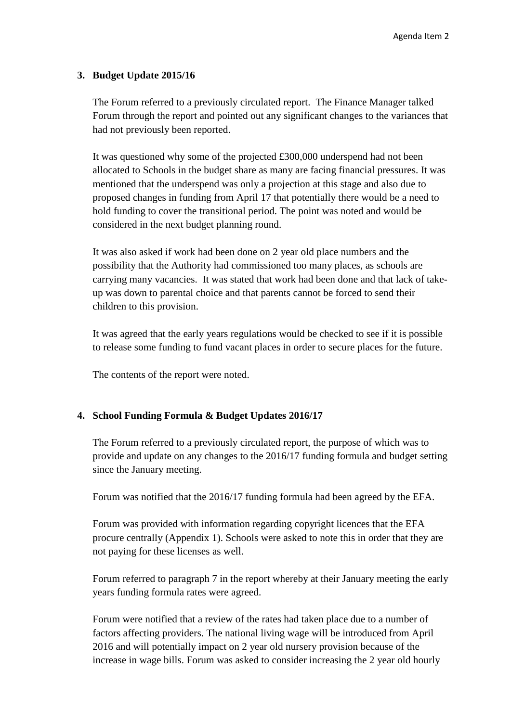#### **3. Budget Update 2015/16**

The Forum referred to a previously circulated report. The Finance Manager talked Forum through the report and pointed out any significant changes to the variances that had not previously been reported.

It was questioned why some of the projected £300,000 underspend had not been allocated to Schools in the budget share as many are facing financial pressures. It was mentioned that the underspend was only a projection at this stage and also due to proposed changes in funding from April 17 that potentially there would be a need to hold funding to cover the transitional period. The point was noted and would be considered in the next budget planning round.

It was also asked if work had been done on 2 year old place numbers and the possibility that the Authority had commissioned too many places, as schools are carrying many vacancies. It was stated that work had been done and that lack of takeup was down to parental choice and that parents cannot be forced to send their children to this provision.

It was agreed that the early years regulations would be checked to see if it is possible to release some funding to fund vacant places in order to secure places for the future.

The contents of the report were noted.

# **4. School Funding Formula & Budget Updates 2016/17**

The Forum referred to a previously circulated report, the purpose of which was to provide and update on any changes to the 2016/17 funding formula and budget setting since the January meeting.

Forum was notified that the 2016/17 funding formula had been agreed by the EFA.

Forum was provided with information regarding copyright licences that the EFA procure centrally (Appendix 1). Schools were asked to note this in order that they are not paying for these licenses as well.

Forum referred to paragraph 7 in the report whereby at their January meeting the early years funding formula rates were agreed.

Forum were notified that a review of the rates had taken place due to a number of factors affecting providers. The national living wage will be introduced from April 2016 and will potentially impact on 2 year old nursery provision because of the increase in wage bills. Forum was asked to consider increasing the 2 year old hourly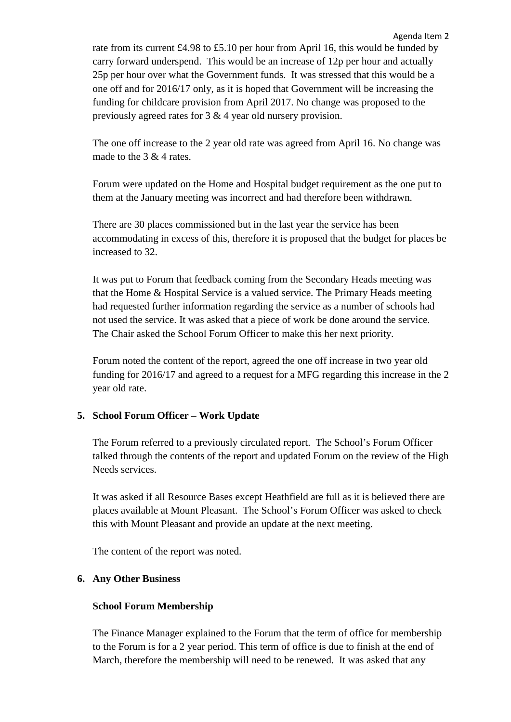rate from its current £4.98 to £5.10 per hour from April 16, this would be funded by carry forward underspend. This would be an increase of 12p per hour and actually 25p per hour over what the Government funds. It was stressed that this would be a one off and for 2016/17 only, as it is hoped that Government will be increasing the funding for childcare provision from April 2017. No change was proposed to the previously agreed rates for 3 & 4 year old nursery provision.

The one off increase to the 2 year old rate was agreed from April 16. No change was made to the 3 & 4 rates.

Forum were updated on the Home and Hospital budget requirement as the one put to them at the January meeting was incorrect and had therefore been withdrawn.

There are 30 places commissioned but in the last year the service has been accommodating in excess of this, therefore it is proposed that the budget for places be increased to 32.

It was put to Forum that feedback coming from the Secondary Heads meeting was that the Home & Hospital Service is a valued service. The Primary Heads meeting had requested further information regarding the service as a number of schools had not used the service. It was asked that a piece of work be done around the service. The Chair asked the School Forum Officer to make this her next priority.

Forum noted the content of the report, agreed the one off increase in two year old funding for 2016/17 and agreed to a request for a MFG regarding this increase in the 2 year old rate.

# **5. School Forum Officer – Work Update**

The Forum referred to a previously circulated report. The School's Forum Officer talked through the contents of the report and updated Forum on the review of the High Needs services.

It was asked if all Resource Bases except Heathfield are full as it is believed there are places available at Mount Pleasant. The School's Forum Officer was asked to check this with Mount Pleasant and provide an update at the next meeting.

The content of the report was noted.

# **6. Any Other Business**

# **School Forum Membership**

The Finance Manager explained to the Forum that the term of office for membership to the Forum is for a 2 year period. This term of office is due to finish at the end of March, therefore the membership will need to be renewed. It was asked that any